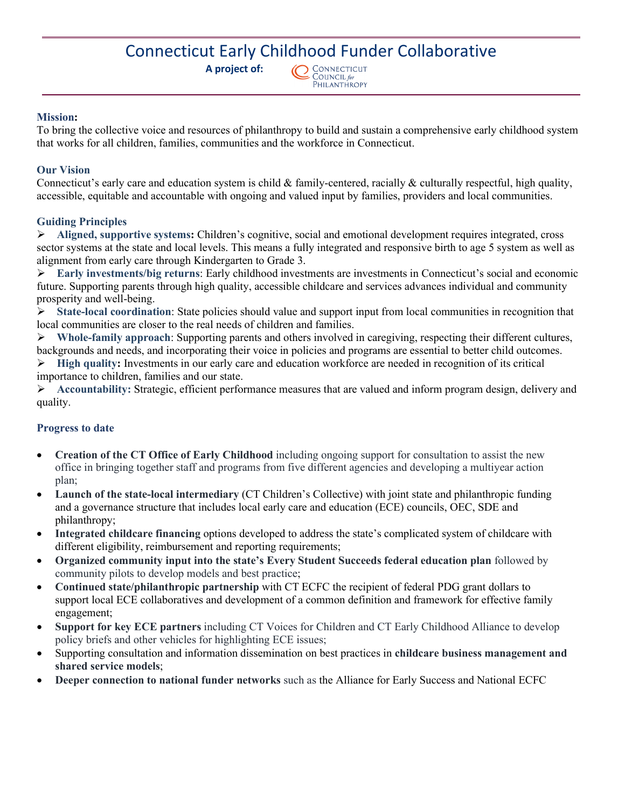## Connecticut Early Childhood Funder Collaborative

 **A project of:** 



#### **Mission:**

To bring the collective voice and resources of philanthropy to build and sustain a comprehensive early childhood system that works for all children, families, communities and the workforce in Connecticut.

#### **Our Vision**

Connecticut's early care and education system is child  $\&$  family-centered, racially  $\&$  culturally respectful, high quality, accessible, equitable and accountable with ongoing and valued input by families, providers and local communities.

#### **Guiding Principles**

 **Aligned, supportive systems:** Children's cognitive, social and emotional development requires integrated, cross sector systems at the state and local levels. This means a fully integrated and responsive birth to age 5 system as well as alignment from early care through Kindergarten to Grade 3.

 **Early investments/big returns**: Early childhood investments are investments in Connecticut's social and economic future. Supporting parents through high quality, accessible childcare and services advances individual and community prosperity and well-being.

 **State-local coordination**: State policies should value and support input from local communities in recognition that local communities are closer to the real needs of children and families.

 **Whole-family approach**: Supporting parents and others involved in caregiving, respecting their different cultures, backgrounds and needs, and incorporating their voice in policies and programs are essential to better child outcomes.

 **High quality:** Investments in our early care and education workforce are needed in recognition of its critical importance to children, families and our state.

 **Accountability:** Strategic, efficient performance measures that are valued and inform program design, delivery and quality.

#### **Progress to date**

- **Creation of the CT Office of Early Childhood** including ongoing support for consultation to assist the new office in bringing together staff and programs from five different agencies and developing a multiyear action plan;
- **Launch of the state-local intermediary** (CT Children's Collective) with joint state and philanthropic funding and a governance structure that includes local early care and education (ECE) councils, OEC, SDE and philanthropy;
- **Integrated childcare financing** options developed to address the state's complicated system of childcare with different eligibility, reimbursement and reporting requirements;
- **Organized community input into the state's Every Student Succeeds federal education plan** followed by community pilots to develop models and best practice;
- **Continued state/philanthropic partnership** with CT ECFC the recipient of federal PDG grant dollars to support local ECE collaboratives and development of a common definition and framework for effective family engagement;
- **Support for key ECE partners** including CT Voices for Children and CT Early Childhood Alliance to develop policy briefs and other vehicles for highlighting ECE issues;
- Supporting consultation and information dissemination on best practices in **childcare business management and shared service models**;
- **Deeper connection to national funder networks** such as the Alliance for Early Success and National ECFC